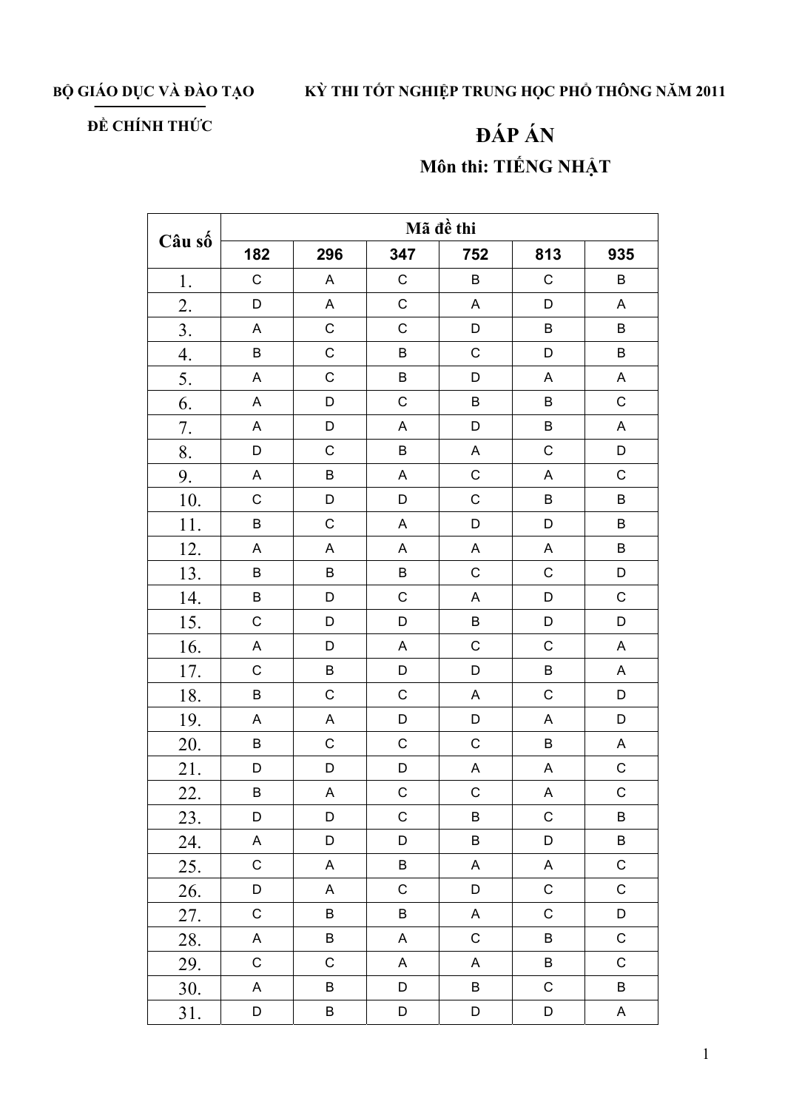BỘ GIÁO DỤC VÀ ĐÀO TẠO

## KỪ THI TỐT NGHIỆP TRUNG HỌC PHỔ THÔNG NĂM 2011

## ĐỀ CHÍNH THỨC

## ĐÁP ÁN Môn thi: TIẾNG NHẬT

| Câu số | Mã đề thi   |             |                           |                           |                           |                           |  |  |
|--------|-------------|-------------|---------------------------|---------------------------|---------------------------|---------------------------|--|--|
|        | 182         | 296         | 347                       | 752                       | 813                       | 935                       |  |  |
| $1.$   | $\mathsf C$ | $\mathsf A$ | $\mathsf C$               | $\sf B$                   | $\mathsf C$               | $\sf B$                   |  |  |
| 2.     | $\mathsf D$ | $\mathsf A$ | $\mathsf C$               | $\mathsf A$               | D                         | $\mathsf A$               |  |  |
| 3.     | $\mathsf A$ | $\mathsf C$ | $\mathsf C$               | D                         | $\sf B$                   | $\sf B$                   |  |  |
| 4.     | $\sf B$     | $\mathsf C$ | B                         | $\mathsf C$               | D                         | $\sf B$                   |  |  |
| 5.     | A           | $\mathsf C$ | B                         | D                         | A                         | A                         |  |  |
| 6.     | $\mathsf A$ | D           | $\mathsf C$               | $\sf B$                   | $\sf B$                   | $\mathsf C$               |  |  |
| 7.     | A           | D           | $\mathsf A$               | D                         | $\sf B$                   | $\boldsymbol{\mathsf{A}}$ |  |  |
| 8.     | D           | $\mathsf C$ | $\sf B$                   | $\mathsf A$               | $\mathsf C$               | D                         |  |  |
| 9.     | $\mathsf A$ | $\sf B$     | $\boldsymbol{\mathsf{A}}$ | $\mathsf C$               | $\boldsymbol{\mathsf{A}}$ | $\mathsf{C}$              |  |  |
| 10.    | $\mathsf C$ | D           | $\mathsf D$               | $\mathsf C$               | $\sf B$                   | $\sf B$                   |  |  |
| 11.    | $\sf B$     | $\mathsf C$ | A                         | D                         | D                         | $\sf B$                   |  |  |
| 12.    | A           | A           | $\mathsf A$               | A                         | $\mathsf A$               | $\sf B$                   |  |  |
| 13.    | $\sf B$     | $\sf B$     | $\sf B$                   | $\mathsf C$               | $\mathsf C$               | D                         |  |  |
| 14.    | $\sf B$     | D           | $\mathsf C$               | $\boldsymbol{\mathsf{A}}$ | D                         | $\mathsf C$               |  |  |
| 15.    | $\mathsf C$ | D           | $\mathsf D$               | $\sf B$                   | D                         | D                         |  |  |
| 16.    | A           | D           | $\mathsf A$               | $\mathsf C$               | $\mathsf C$               | $\boldsymbol{\mathsf{A}}$ |  |  |
| 17.    | $\mathsf C$ | $\sf B$     | D                         | D                         | $\sf B$                   | $\mathsf A$               |  |  |
| 18.    | $\sf B$     | $\mathsf C$ | $\mathsf C$               | $\boldsymbol{\mathsf{A}}$ | $\mathsf C$               | D                         |  |  |
| 19.    | $\mathsf A$ | $\mathsf A$ | $\mathsf D$               | D                         | A                         | D                         |  |  |
| 20.    | B           | $\mathsf C$ | $\mathsf C$               | $\mathsf C$               | $\sf B$                   | $\boldsymbol{\mathsf{A}}$ |  |  |
| 21.    | D           | D           | $\mathsf D$               | A                         | $\mathsf A$               | $\mathsf C$               |  |  |
| 22.    | B           | $\mathsf A$ | $\mathsf C$               | $\mathsf{C}$              | $\boldsymbol{\mathsf{A}}$ | $\mathsf{C}$              |  |  |
| 23.    | D           | D           | $\mathsf C$               | B                         | $\mathsf C$               | B                         |  |  |
| 24.    | A           | D           | D                         | B                         | D                         | $\sf B$                   |  |  |
| 25.    | $\mathsf C$ | $\mathsf A$ | $\sf B$                   | A                         | $\mathsf A$               | $\mathsf C$               |  |  |
| 26.    | D           | A           | $\mathsf C$               | D                         | $\mathsf C$               | $\mathsf C$               |  |  |
| 27.    | $\mathsf C$ | B           | B                         | A                         | $\mathsf C$               | D                         |  |  |
| 28.    | A           | B           | A                         | $\mathsf C$               | B                         | $\mathsf C$               |  |  |
| 29.    | $\mathsf C$ | $\mathsf C$ | $\mathsf A$               | A                         | $\sf B$                   | $\mathsf C$               |  |  |
| 30.    | A           | B           | D                         | $\sf B$                   | $\mathsf C$               | $\sf B$                   |  |  |
| 31.    | D           | B           | D                         | D                         | $\mathsf D$               | A                         |  |  |